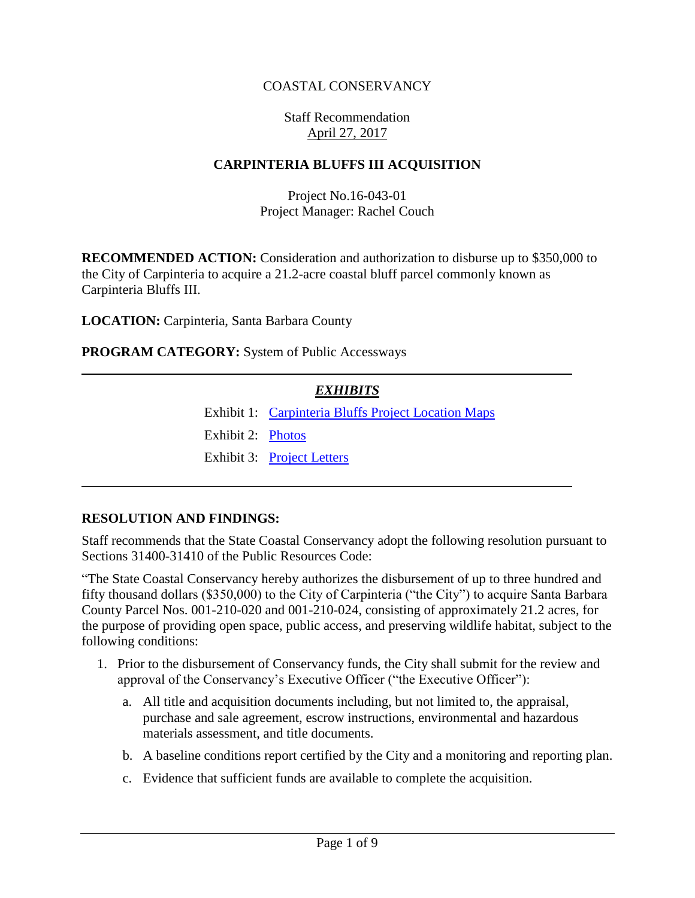## COASTAL CONSERVANCY

#### Staff Recommendation April 27, 2017

#### **CARPINTERIA BLUFFS III ACQUISITION**

Project No.16-043-01 Project Manager: Rachel Couch

**RECOMMENDED ACTION:** Consideration and authorization to disburse up to \$350,000 to the City of Carpinteria to acquire a 21.2-acre coastal bluff parcel commonly known as Carpinteria Bluffs III.

**LOCATION:** Carpinteria, Santa Barbara County

**PROGRAM CATEGORY:** System of Public Accessways

### *EXHIBITS*

Exhibit 1: [Carpinteria Bluffs Project Location Maps](20170427Board09_Carpinteria_Bluffs_III_Ex1.pdf)

Exhibit 2: [Photos](20170427Board09_Carpinteria_Bluffs_III_Ex2.pdf)

Exhibit 3: [Project Letters](20170427Board09_Carpinteria_Bluffs_III_Ex3.pdf)

#### **RESOLUTION AND FINDINGS:**

Staff recommends that the State Coastal Conservancy adopt the following resolution pursuant to Sections 31400-31410 of the Public Resources Code:

"The State Coastal Conservancy hereby authorizes the disbursement of up to three hundred and fifty thousand dollars (\$350,000) to the City of Carpinteria ("the City") to acquire Santa Barbara County Parcel Nos. 001-210-020 and 001-210-024, consisting of approximately 21.2 acres, for the purpose of providing open space, public access, and preserving wildlife habitat, subject to the following conditions:

- 1. Prior to the disbursement of Conservancy funds, the City shall submit for the review and approval of the Conservancy's Executive Officer ("the Executive Officer"):
	- a. All title and acquisition documents including, but not limited to, the appraisal, purchase and sale agreement, escrow instructions, environmental and hazardous materials assessment, and title documents.
	- b. A baseline conditions report certified by the City and a monitoring and reporting plan.
	- c. Evidence that sufficient funds are available to complete the acquisition.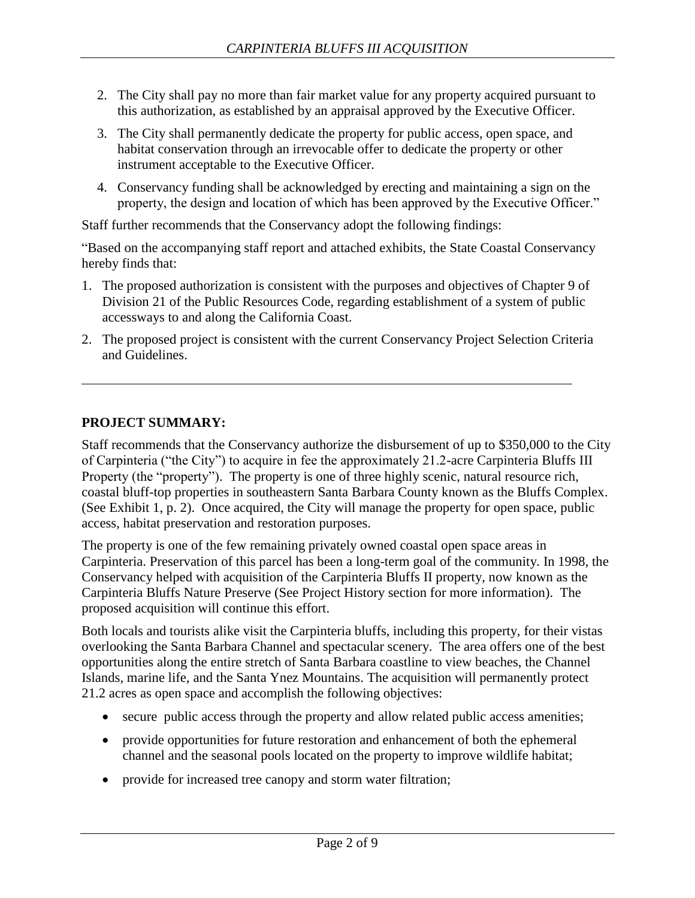- 2. The City shall pay no more than fair market value for any property acquired pursuant to this authorization, as established by an appraisal approved by the Executive Officer.
- 3. The City shall permanently dedicate the property for public access, open space, and habitat conservation through an irrevocable offer to dedicate the property or other instrument acceptable to the Executive Officer.
- 4. Conservancy funding shall be acknowledged by erecting and maintaining a sign on the property, the design and location of which has been approved by the Executive Officer."

Staff further recommends that the Conservancy adopt the following findings:

"Based on the accompanying staff report and attached exhibits, the State Coastal Conservancy hereby finds that:

- 1. The proposed authorization is consistent with the purposes and objectives of Chapter 9 of Division 21 of the Public Resources Code, regarding establishment of a system of public accessways to and along the California Coast.
- 2. The proposed project is consistent with the current Conservancy Project Selection Criteria and Guidelines.

# **PROJECT SUMMARY:**

Staff recommends that the Conservancy authorize the disbursement of up to \$350,000 to the City of Carpinteria ("the City") to acquire in fee the approximately 21.2-acre Carpinteria Bluffs III Property (the "property"). The property is one of three highly scenic, natural resource rich, coastal bluff-top properties in southeastern Santa Barbara County known as the Bluffs Complex. (See Exhibit 1, p. 2). Once acquired, the City will manage the property for open space, public access, habitat preservation and restoration purposes.

The property is one of the few remaining privately owned coastal open space areas in Carpinteria. Preservation of this parcel has been a long-term goal of the community. In 1998, the Conservancy helped with acquisition of the Carpinteria Bluffs II property, now known as the Carpinteria Bluffs Nature Preserve (See Project History section for more information). The proposed acquisition will continue this effort.

Both locals and tourists alike visit the Carpinteria bluffs, including this property, for their vistas overlooking the Santa Barbara Channel and spectacular scenery. The area offers one of the best opportunities along the entire stretch of Santa Barbara coastline to view beaches, the Channel Islands, marine life, and the Santa Ynez Mountains. The acquisition will permanently protect 21.2 acres as open space and accomplish the following objectives:

- secure public access through the property and allow related public access amenities;
- provide opportunities for future restoration and enhancement of both the ephemeral channel and the seasonal pools located on the property to improve wildlife habitat;
- provide for increased tree canopy and storm water filtration;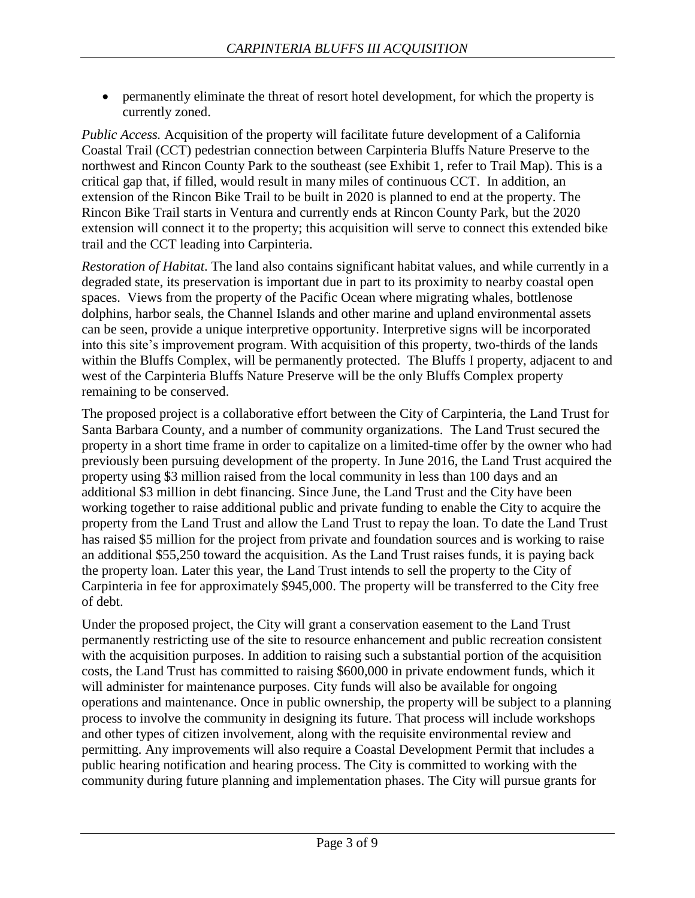permanently eliminate the threat of resort hotel development, for which the property is currently zoned.

*Public Access.* Acquisition of the property will facilitate future development of a California Coastal Trail (CCT) pedestrian connection between Carpinteria Bluffs Nature Preserve to the northwest and Rincon County Park to the southeast (see Exhibit 1, refer to Trail Map). This is a critical gap that, if filled, would result in many miles of continuous CCT. In addition, an extension of the Rincon Bike Trail to be built in 2020 is planned to end at the property. The Rincon Bike Trail starts in Ventura and currently ends at Rincon County Park, but the 2020 extension will connect it to the property; this acquisition will serve to connect this extended bike trail and the CCT leading into Carpinteria.

*Restoration of Habitat*. The land also contains significant habitat values, and while currently in a degraded state, its preservation is important due in part to its proximity to nearby coastal open spaces. Views from the property of the Pacific Ocean where migrating whales, bottlenose dolphins, harbor seals, the Channel Islands and other marine and upland environmental assets can be seen, provide a unique interpretive opportunity. Interpretive signs will be incorporated into this site's improvement program. With acquisition of this property, two-thirds of the lands within the Bluffs Complex, will be permanently protected. The Bluffs I property, adjacent to and west of the Carpinteria Bluffs Nature Preserve will be the only Bluffs Complex property remaining to be conserved.

The proposed project is a collaborative effort between the City of Carpinteria, the Land Trust for Santa Barbara County, and a number of community organizations. The Land Trust secured the property in a short time frame in order to capitalize on a limited-time offer by the owner who had previously been pursuing development of the property. In June 2016, the Land Trust acquired the property using \$3 million raised from the local community in less than 100 days and an additional \$3 million in debt financing. Since June, the Land Trust and the City have been working together to raise additional public and private funding to enable the City to acquire the property from the Land Trust and allow the Land Trust to repay the loan. To date the Land Trust has raised \$5 million for the project from private and foundation sources and is working to raise an additional \$55,250 toward the acquisition. As the Land Trust raises funds, it is paying back the property loan. Later this year, the Land Trust intends to sell the property to the City of Carpinteria in fee for approximately \$945,000. The property will be transferred to the City free of debt.

Under the proposed project, the City will grant a conservation easement to the Land Trust permanently restricting use of the site to resource enhancement and public recreation consistent with the acquisition purposes. In addition to raising such a substantial portion of the acquisition costs, the Land Trust has committed to raising \$600,000 in private endowment funds, which it will administer for maintenance purposes. City funds will also be available for ongoing operations and maintenance. Once in public ownership, the property will be subject to a planning process to involve the community in designing its future. That process will include workshops and other types of citizen involvement, along with the requisite environmental review and permitting. Any improvements will also require a Coastal Development Permit that includes a public hearing notification and hearing process. The City is committed to working with the community during future planning and implementation phases. The City will pursue grants for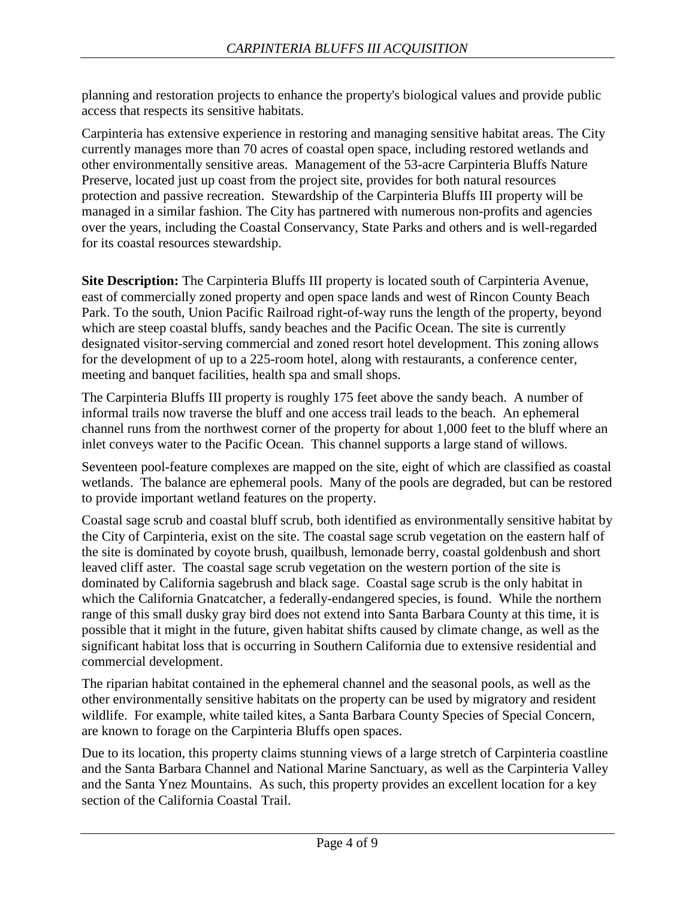planning and restoration projects to enhance the property's biological values and provide public access that respects its sensitive habitats.

Carpinteria has extensive experience in restoring and managing sensitive habitat areas. The City currently manages more than 70 acres of coastal open space, including restored wetlands and other environmentally sensitive areas. Management of the 53-acre Carpinteria Bluffs Nature Preserve, located just up coast from the project site, provides for both natural resources protection and passive recreation. Stewardship of the Carpinteria Bluffs III property will be managed in a similar fashion. The City has partnered with numerous non-profits and agencies over the years, including the Coastal Conservancy, State Parks and others and is well-regarded for its coastal resources stewardship.

**Site Description:** The Carpinteria Bluffs III property is located south of Carpinteria Avenue, east of commercially zoned property and open space lands and west of Rincon County Beach Park. To the south, Union Pacific Railroad right-of-way runs the length of the property, beyond which are steep coastal bluffs, sandy beaches and the Pacific Ocean. The site is currently designated visitor-serving commercial and zoned resort hotel development. This zoning allows for the development of up to a 225-room hotel, along with restaurants, a conference center, meeting and banquet facilities, health spa and small shops.

The Carpinteria Bluffs III property is roughly 175 feet above the sandy beach. A number of informal trails now traverse the bluff and one access trail leads to the beach. An ephemeral channel runs from the northwest corner of the property for about 1,000 feet to the bluff where an inlet conveys water to the Pacific Ocean. This channel supports a large stand of willows.

Seventeen pool-feature complexes are mapped on the site, eight of which are classified as coastal wetlands. The balance are ephemeral pools. Many of the pools are degraded, but can be restored to provide important wetland features on the property.

Coastal sage scrub and coastal bluff scrub, both identified as environmentally sensitive habitat by the City of Carpinteria, exist on the site. The coastal sage scrub vegetation on the eastern half of the site is dominated by coyote brush, quailbush, lemonade berry, coastal goldenbush and short leaved cliff aster. The coastal sage scrub vegetation on the western portion of the site is dominated by California sagebrush and black sage. Coastal sage scrub is the only habitat in which the California Gnatcatcher, a federally-endangered species, is found. While the northern range of this small dusky gray bird does not extend into Santa Barbara County at this time, it is possible that it might in the future, given habitat shifts caused by climate change, as well as the significant habitat loss that is occurring in Southern California due to extensive residential and commercial development.

The riparian habitat contained in the ephemeral channel and the seasonal pools, as well as the other environmentally sensitive habitats on the property can be used by migratory and resident wildlife. For example, white tailed kites, a Santa Barbara County Species of Special Concern, are known to forage on the Carpinteria Bluffs open spaces.

Due to its location, this property claims stunning views of a large stretch of Carpinteria coastline and the Santa Barbara Channel and National Marine Sanctuary, as well as the Carpinteria Valley and the Santa Ynez Mountains. As such, this property provides an excellent location for a key section of the California Coastal Trail.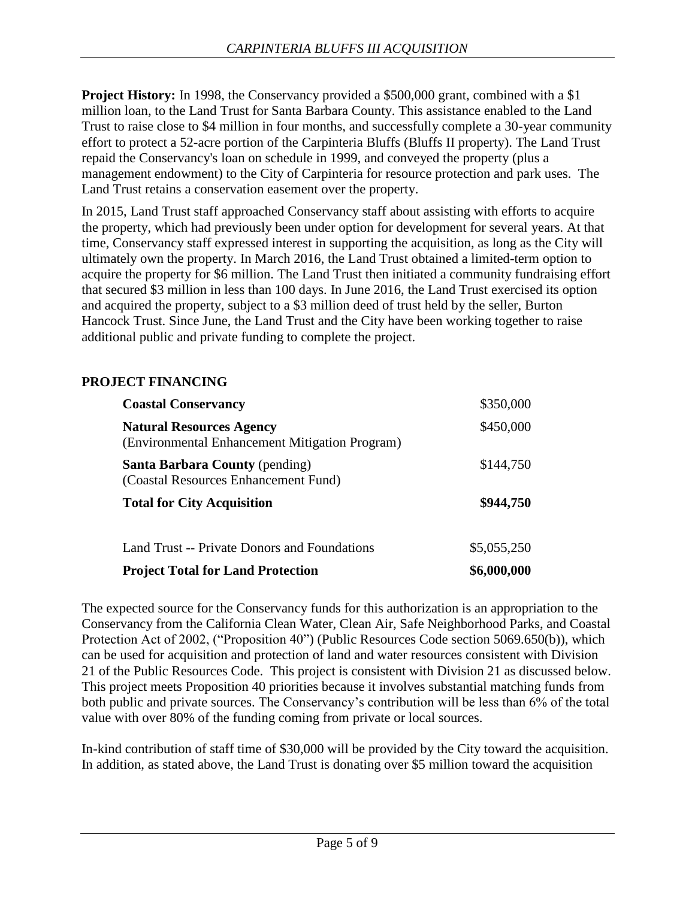**Project History:** In 1998, the Conservancy provided a \$500,000 grant, combined with a \$1 million loan, to the Land Trust for Santa Barbara County. This assistance enabled to the Land Trust to raise close to \$4 million in four months, and successfully complete a 30-year community effort to protect a 52-acre portion of the Carpinteria Bluffs (Bluffs II property). The Land Trust repaid the Conservancy's loan on schedule in 1999, and conveyed the property (plus a management endowment) to the City of Carpinteria for resource protection and park uses. The Land Trust retains a conservation easement over the property.

In 2015, Land Trust staff approached Conservancy staff about assisting with efforts to acquire the property, which had previously been under option for development for several years. At that time, Conservancy staff expressed interest in supporting the acquisition, as long as the City will ultimately own the property. In March 2016, the Land Trust obtained a limited-term option to acquire the property for \$6 million. The Land Trust then initiated a community fundraising effort that secured \$3 million in less than 100 days. In June 2016, the Land Trust exercised its option and acquired the property, subject to a \$3 million deed of trust held by the seller, Burton Hancock Trust. Since June, the Land Trust and the City have been working together to raise additional public and private funding to complete the project.

### **PROJECT FINANCING**

| <b>Coastal Conservancy</b>                                                                                                                                         | \$350,000              |
|--------------------------------------------------------------------------------------------------------------------------------------------------------------------|------------------------|
| <b>Natural Resources Agency</b><br>(Environmental Enhancement Mitigation Program)<br><b>Santa Barbara County (pending)</b><br>(Coastal Resources Enhancement Fund) | \$450,000<br>\$144,750 |
|                                                                                                                                                                    |                        |
| Land Trust -- Private Donors and Foundations                                                                                                                       | \$5,055,250            |
| <b>Project Total for Land Protection</b>                                                                                                                           | \$6,000,000            |

The expected source for the Conservancy funds for this authorization is an appropriation to the Conservancy from the California Clean Water, Clean Air, Safe Neighborhood Parks, and Coastal Protection Act of 2002, ("Proposition 40") (Public Resources Code section 5069.650(b)), which can be used for acquisition and protection of land and water resources consistent with Division 21 of the Public Resources Code. This project is consistent with Division 21 as discussed below. This project meets Proposition 40 priorities because it involves substantial matching funds from both public and private sources. The Conservancy's contribution will be less than 6% of the total value with over 80% of the funding coming from private or local sources.

In-kind contribution of staff time of \$30,000 will be provided by the City toward the acquisition. In addition, as stated above, the Land Trust is donating over \$5 million toward the acquisition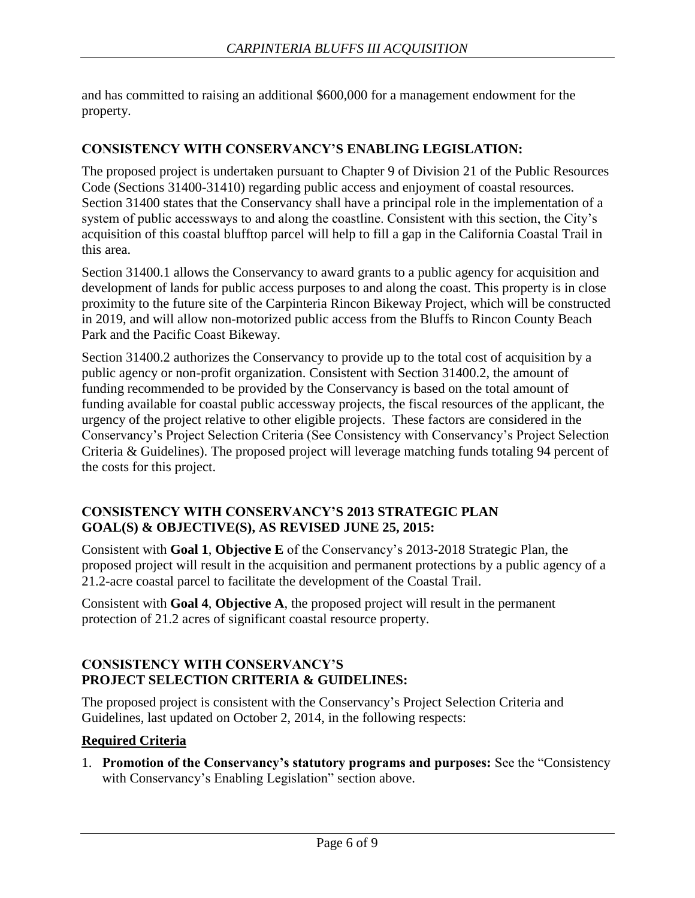and has committed to raising an additional \$600,000 for a management endowment for the property.

# **CONSISTENCY WITH CONSERVANCY'S ENABLING LEGISLATION:**

The proposed project is undertaken pursuant to Chapter 9 of Division 21 of the Public Resources Code (Sections 31400-31410) regarding public access and enjoyment of coastal resources. Section 31400 states that the Conservancy shall have a principal role in the implementation of a system of public accessways to and along the coastline. Consistent with this section, the City's acquisition of this coastal blufftop parcel will help to fill a gap in the California Coastal Trail in this area.

Section 31400.1 allows the Conservancy to award grants to a public agency for acquisition and development of lands for public access purposes to and along the coast. This property is in close proximity to the future site of the Carpinteria Rincon Bikeway Project, which will be constructed in 2019, and will allow non-motorized public access from the Bluffs to Rincon County Beach Park and the Pacific Coast Bikeway.

Section 31400.2 authorizes the Conservancy to provide up to the total cost of acquisition by a public agency or non-profit organization. Consistent with Section 31400.2, the amount of funding recommended to be provided by the Conservancy is based on the total amount of funding available for coastal public accessway projects, the fiscal resources of the applicant, the urgency of the project relative to other eligible projects. These factors are considered in the Conservancy's Project Selection Criteria (See Consistency with Conservancy's Project Selection Criteria & Guidelines). The proposed project will leverage matching funds totaling 94 percent of the costs for this project.

### **CONSISTENCY WITH CONSERVANCY'S 2013 STRATEGIC PLAN GOAL(S) & OBJECTIVE(S), AS REVISED JUNE 25, 2015:**

Consistent with **Goal 1**, **Objective E** of the Conservancy's 2013-2018 Strategic Plan, the proposed project will result in the acquisition and permanent protections by a public agency of a 21.2-acre coastal parcel to facilitate the development of the Coastal Trail.

Consistent with **Goal 4**, **Objective A**, the proposed project will result in the permanent protection of 21.2 acres of significant coastal resource property.

# **CONSISTENCY WITH CONSERVANCY'S PROJECT SELECTION CRITERIA & GUIDELINES:**

The proposed project is consistent with the Conservancy's Project Selection Criteria and Guidelines, last updated on October 2, 2014, in the following respects:

#### **Required Criteria**

1. **Promotion of the Conservancy's statutory programs and purposes:** See the "Consistency with Conservancy's Enabling Legislation" section above.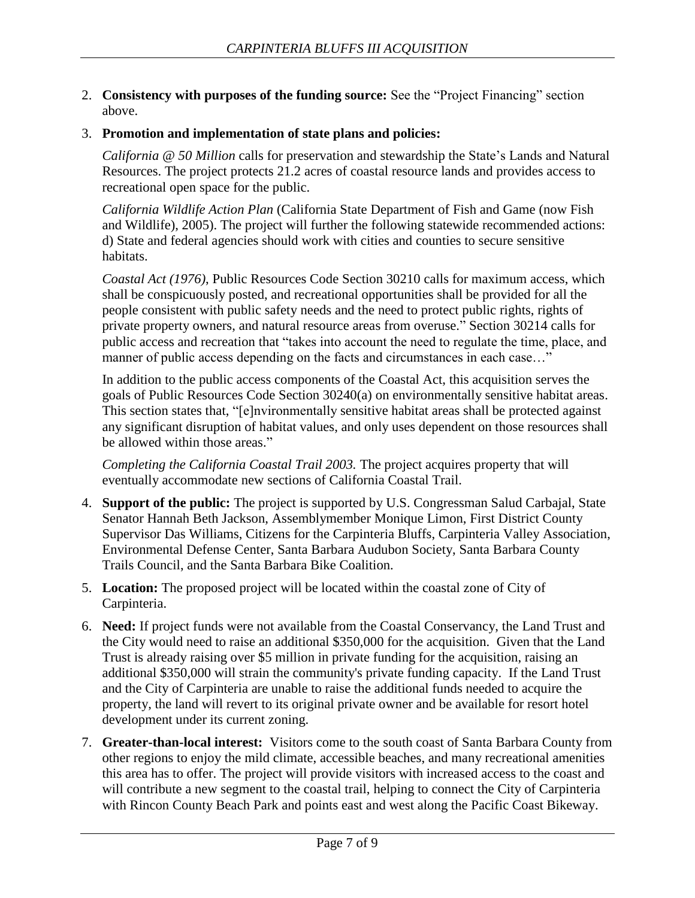2. **Consistency with purposes of the funding source:** See the "Project Financing" section above.

#### 3. **Promotion and implementation of state plans and policies:**

*California @ 50 Million* calls for preservation and stewardship the State's Lands and Natural Resources. The project protects 21.2 acres of coastal resource lands and provides access to recreational open space for the public.

*California Wildlife Action Plan* (California State Department of Fish and Game (now Fish and Wildlife), 2005). The project will further the following statewide recommended actions: d) State and federal agencies should work with cities and counties to secure sensitive habitats.

*Coastal Act (1976)*, Public Resources Code Section 30210 calls for maximum access, which shall be conspicuously posted, and recreational opportunities shall be provided for all the people consistent with public safety needs and the need to protect public rights, rights of private property owners, and natural resource areas from overuse." Section 30214 calls for public access and recreation that "takes into account the need to regulate the time, place, and manner of public access depending on the facts and circumstances in each case…"

In addition to the public access components of the Coastal Act, this acquisition serves the goals of Public Resources Code Section 30240(a) on environmentally sensitive habitat areas. This section states that, "[e]nvironmentally sensitive habitat areas shall be protected against any significant disruption of habitat values, and only uses dependent on those resources shall be allowed within those areas."

*Completing the California Coastal Trail 2003.* The project acquires property that will eventually accommodate new sections of California Coastal Trail.

- 4. **Support of the public:** The project is supported by U.S. Congressman Salud Carbajal, State Senator Hannah Beth Jackson, Assemblymember Monique Limon, First District County Supervisor Das Williams, Citizens for the Carpinteria Bluffs, Carpinteria Valley Association, Environmental Defense Center, Santa Barbara Audubon Society, Santa Barbara County Trails Council, and the Santa Barbara Bike Coalition.
- 5. **Location:** The proposed project will be located within the coastal zone of City of Carpinteria.
- 6. **Need:** If project funds were not available from the Coastal Conservancy, the Land Trust and the City would need to raise an additional \$350,000 for the acquisition. Given that the Land Trust is already raising over \$5 million in private funding for the acquisition, raising an additional \$350,000 will strain the community's private funding capacity. If the Land Trust and the City of Carpinteria are unable to raise the additional funds needed to acquire the property, the land will revert to its original private owner and be available for resort hotel development under its current zoning.
- 7. **Greater-than-local interest:** Visitors come to the south coast of Santa Barbara County from other regions to enjoy the mild climate, accessible beaches, and many recreational amenities this area has to offer. The project will provide visitors with increased access to the coast and will contribute a new segment to the coastal trail, helping to connect the City of Carpinteria with Rincon County Beach Park and points east and west along the Pacific Coast Bikeway.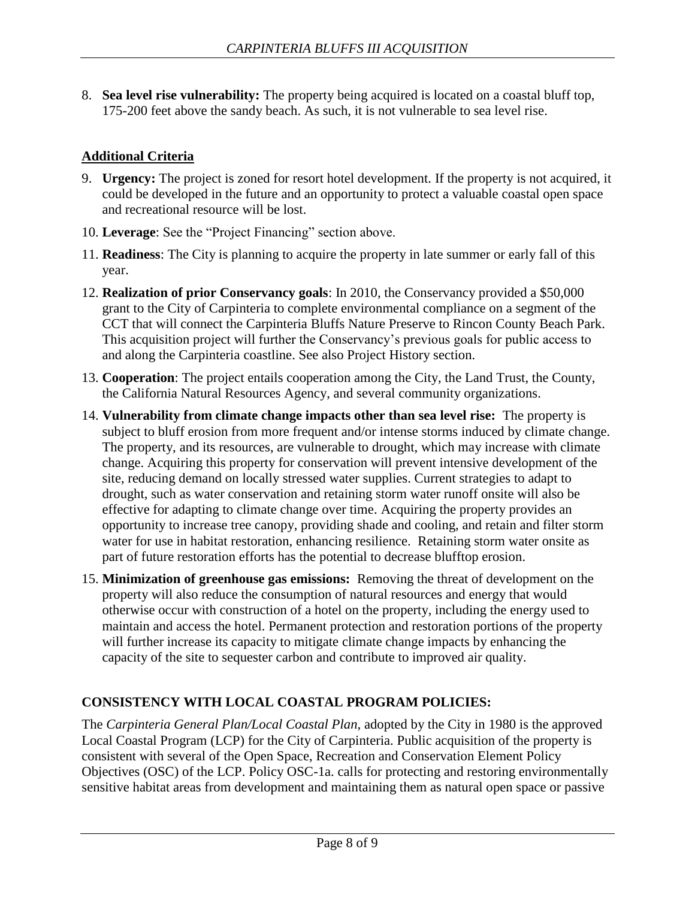8. **Sea level rise vulnerability:** The property being acquired is located on a coastal bluff top, 175-200 feet above the sandy beach. As such, it is not vulnerable to sea level rise.

# **Additional Criteria**

- 9. **Urgency:** The project is zoned for resort hotel development. If the property is not acquired, it could be developed in the future and an opportunity to protect a valuable coastal open space and recreational resource will be lost.
- 10. **Leverage**: See the "Project Financing" section above.
- 11. **Readiness**: The City is planning to acquire the property in late summer or early fall of this year.
- 12. **Realization of prior Conservancy goals**: In 2010, the Conservancy provided a \$50,000 grant to the City of Carpinteria to complete environmental compliance on a segment of the CCT that will connect the Carpinteria Bluffs Nature Preserve to Rincon County Beach Park. This acquisition project will further the Conservancy's previous goals for public access to and along the Carpinteria coastline. See also Project History section.
- 13. **Cooperation**: The project entails cooperation among the City, the Land Trust, the County, the California Natural Resources Agency, and several community organizations.
- 14. **Vulnerability from climate change impacts other than sea level rise:** The property is subject to bluff erosion from more frequent and/or intense storms induced by climate change. The property, and its resources, are vulnerable to drought, which may increase with climate change. Acquiring this property for conservation will prevent intensive development of the site, reducing demand on locally stressed water supplies. Current strategies to adapt to drought, such as water conservation and retaining storm water runoff onsite will also be effective for adapting to climate change over time. Acquiring the property provides an opportunity to increase tree canopy, providing shade and cooling, and retain and filter storm water for use in habitat restoration, enhancing resilience. Retaining storm water onsite as part of future restoration efforts has the potential to decrease blufftop erosion.
- 15. **Minimization of greenhouse gas emissions:** Removing the threat of development on the property will also reduce the consumption of natural resources and energy that would otherwise occur with construction of a hotel on the property, including the energy used to maintain and access the hotel. Permanent protection and restoration portions of the property will further increase its capacity to mitigate climate change impacts by enhancing the capacity of the site to sequester carbon and contribute to improved air quality.

# **CONSISTENCY WITH LOCAL COASTAL PROGRAM POLICIES:**

The *Carpinteria General Plan/Local Coastal Plan*, adopted by the City in 1980 is the approved Local Coastal Program (LCP) for the City of Carpinteria. Public acquisition of the property is consistent with several of the Open Space, Recreation and Conservation Element Policy Objectives (OSC) of the LCP. Policy OSC-1a. calls for protecting and restoring environmentally sensitive habitat areas from development and maintaining them as natural open space or passive